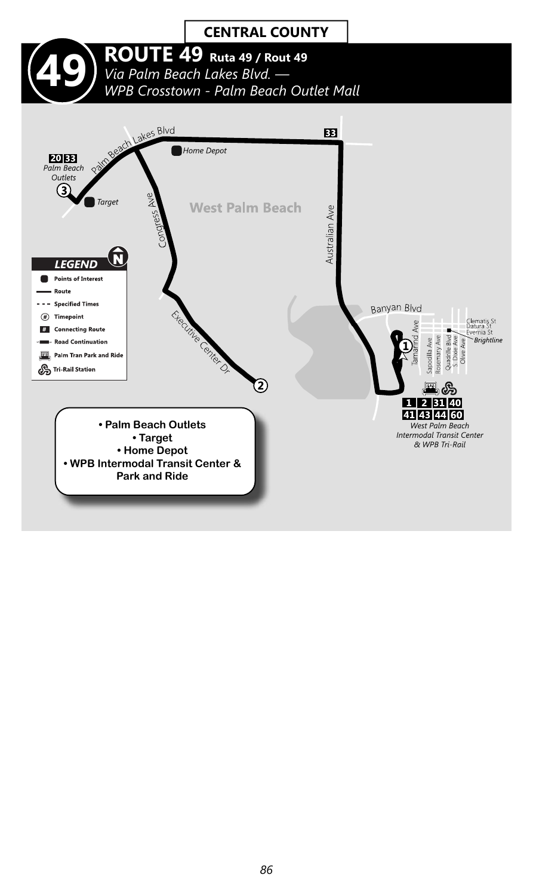#### **CENTRAL COUNTY 49 ROUTE 49 Ruta 49 / Rout 49**<br>Via Palm Beach Lakes Blvd. —<br>WPB Crosstown - Palm Beach Ou *Via Palm Beach Lakes Blvd. — WPB Crosstown - Palm Beach Outlet Mall*Beach Lakes Blvd 83 Home Depot **20 BB**<br>Palm Beach Outlets 3 ž **Target West Palm Beach** Australian Ave  $\widehat{\mathbf{N}}$ **LEGEND** Points of Interest Route --- Specified Times Electric Called D. Banyan Blvd  $\circledast$  Timepoint Clematis St<br>Datura St<br>Evernia St Ave # Connecting Route ٠ Sapodilla Ave<br>Rosemary Ave<br>Quadrille Blvd<br>S. Dixie Ave arind Brightline **\*Ille Road Continuation** Palm Tran Park and Ride Tri-Rail Station 2 里岛 1 2 31 40 41 43 44 60

West Palm Beach Intermodal Transit Center & WPB Tri-Rail

**• Palm Beach Outlets • Target • Home Depot • WPB Intermodal Transit Center & Park and Ride**

*86*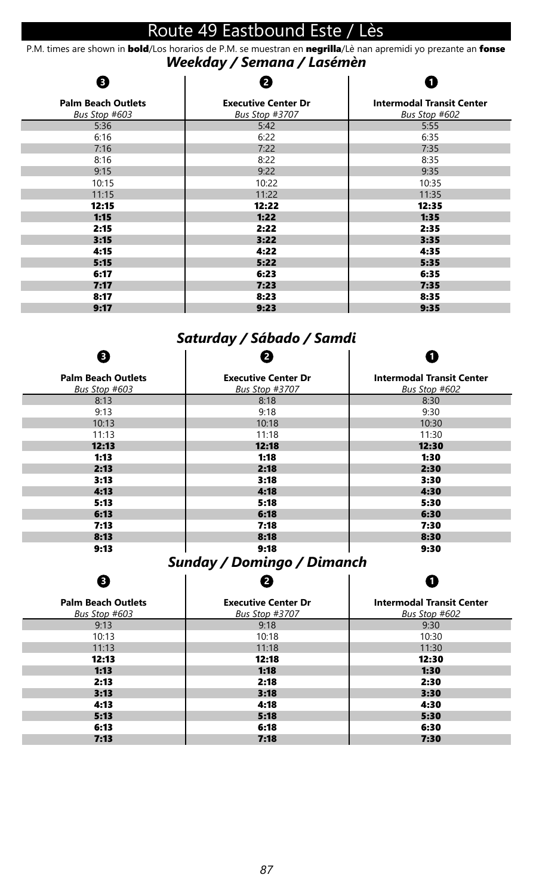# Route 49 Eastbound Este / Lès

*Weekday / Semana / Lasémèn* P.M. times are shown in **bold**/Los horarios de P.M. se muestran en negrilla/Lè nan apremidi yo prezante an fonse

#### **Palm Beach Outlets** *Bus Stop #603* 5:36 6:16 7:16 8:16 9:15 10:15 11:15 12:15 1:15 2:15 3:15 4:15 5:15 6:17 7:17 8:17 9:17 **Executive Center Dr** *Bus Stop #3707* 5:42 6:22 7:22 8:22 9:22 10:22 11:22 12:22 1:22 2:22 3:22 4:22 5:22 6:23 7:23 8:23 9:23 **Intermodal Transit Center** *Bus Stop #602* 5:55 6:35 7:35 8:35 9:35 10:35 11:35 12:35 1:35 2:35 3:35 4:35 5:35 6:35 7:35 8:35 9:35 **1 2 3**

## *Saturday / Sábado / Samdi*

| €                                          |                                              |                                                   |
|--------------------------------------------|----------------------------------------------|---------------------------------------------------|
| <b>Palm Beach Outlets</b><br>Bus Stop #603 | <b>Executive Center Dr</b><br>Bus Stop #3707 | <b>Intermodal Transit Center</b><br>Bus Stop #602 |
| 8:13                                       | 8:18                                         | 8:30                                              |
| 9:13                                       | 9:18                                         | 9:30                                              |
| 10:13                                      | 10:18                                        | 10:30                                             |
| 11:13                                      | 11:18                                        | 11:30                                             |
| 12:13                                      | 12:18                                        | 12:30                                             |
| 1:13                                       | 1:18                                         | 1:30                                              |
| 2:13                                       | 2:18                                         | 2:30                                              |
| 3:13                                       | 3:18                                         | 3:30                                              |
| 4:13                                       | 4:18                                         | 4:30                                              |
| 5:13                                       | 5:18                                         | 5:30                                              |
| 6:13                                       | 6:18                                         | 6:30                                              |
| 7:13                                       | 7:18                                         | 7:30                                              |
| 8:13                                       | 8:18                                         | 8:30                                              |
| 9:13                                       | 9:18                                         | 9:30                                              |

#### *Sunday / Domingo / Dimanch*  $\overline{1}$  $\mathbf{I}$ **2**

**3**

 $\mathbf{r}$ 

| œ,                                         | .                                            | u                                                 |
|--------------------------------------------|----------------------------------------------|---------------------------------------------------|
| <b>Palm Beach Outlets</b><br>Bus Stop #603 | <b>Executive Center Dr</b><br>Bus Stop #3707 | <b>Intermodal Transit Center</b><br>Bus Stop #602 |
| 9:13                                       | 9:18                                         | 9:30                                              |
| 10:13                                      | 10:18                                        | 10:30                                             |
| 11:13                                      | 11:18                                        | 11:30                                             |
| 12:13                                      | 12:18                                        | 12:30                                             |
| 1:13                                       | 1:18                                         | 1:30                                              |
| 2:13                                       | 2:18                                         | 2:30                                              |
| 3:13                                       | 3:18                                         | 3:30                                              |
| 4:13                                       | 4:18                                         | 4:30                                              |
| 5:13                                       | 5:18                                         | 5:30                                              |
| 6:13                                       | 6:18                                         | 6:30                                              |
| 7:13                                       | 7:18                                         | 7:30                                              |